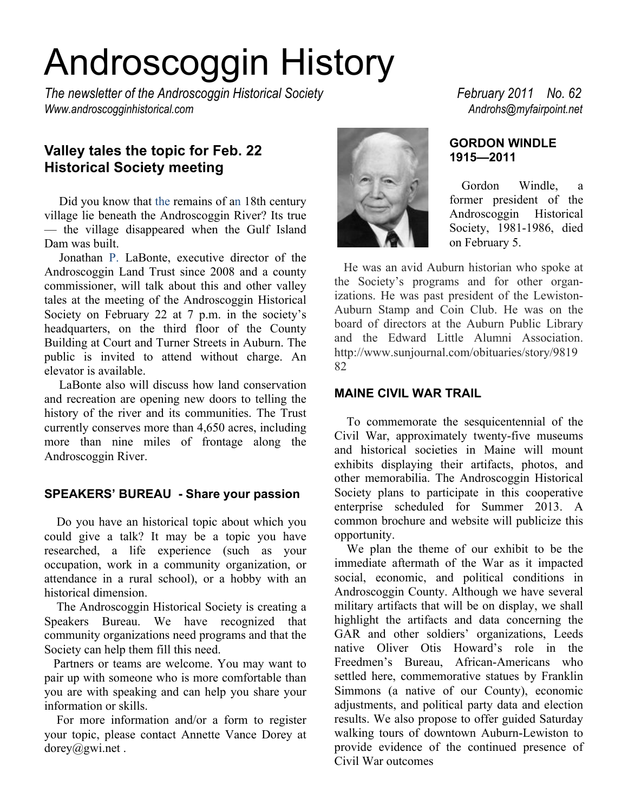# Androscoggin History

*The newsletter of the Androscoggin Historical Society February 2011* No. 62 *Www.androscogginhistorical.com Androhs@myfairpoint.net*

## **Valley tales the topic for Feb. 22 Historical Society meeting**

Did you know that the remains of an 18th century village lie beneath the Androscoggin River? Its true — the village disappeared when the Gulf Island Dam was built.

Jonathan P. LaBonte, executive director of the Androscoggin Land Trust since 2008 and a county commissioner, will talk about this and other valley tales at the meeting of the Androscoggin Historical Society on February 22 at 7 p.m. in the society's headquarters, on the third floor of the County Building at Court and Turner Streets in Auburn. The public is invited to attend without charge. An elevator is available.

LaBonte also will discuss how land conservation and recreation are opening new doors to telling the history of the river and its communities. The Trust currently conserves more than 4,650 acres, including more than nine miles of frontage along the Androscoggin River.

## **SPEAKERS' BUREAU - Share your passion**

 Do you have an historical topic about which you could give a talk? It may be a topic you have researched, a life experience (such as your occupation, work in a community organization, or attendance in a rural school), or a hobby with an historical dimension.

 The Androscoggin Historical Society is creating a Speakers Bureau. We have recognized that community organizations need programs and that the Society can help them fill this need.

 Partners or teams are welcome. You may want to pair up with someone who is more comfortable than you are with speaking and can help you share your information or skills.

 For more information and/or a form to register your topic, please contact Annette Vance Dorey at dorey@gwi.net.



#### **GORDON WINDLE 1915—2011**

 Gordon Windle, a former president of the Androscoggin Historical Society, 1981-1986, died on February 5.

 He was an avid Auburn historian who spoke at the Society's programs and for other organizations. He was past president of the Lewiston-Auburn Stamp and Coin Club. He was on the board of directors at the Auburn Public Library and the Edward Little Alumni Association. http://www.sunjournal.com/obituaries/story/9819 82

### **MAINE CIVIL WAR TRAIL**

 To commemorate the sesquicentennial of the Civil War, approximately twenty-five museums and historical societies in Maine will mount exhibits displaying their artifacts, photos, and other memorabilia. The Androscoggin Historical Society plans to participate in this cooperative enterprise scheduled for Summer 2013. A common brochure and website will publicize this opportunity.

 We plan the theme of our exhibit to be the immediate aftermath of the War as it impacted social, economic, and political conditions in Androscoggin County. Although we have several military artifacts that will be on display, we shall highlight the artifacts and data concerning the GAR and other soldiers' organizations, Leeds native Oliver Otis Howard's role in the Freedmen's Bureau, African-Americans who settled here, commemorative statues by Franklin Simmons (a native of our County), economic adjustments, and political party data and election results. We also propose to offer guided Saturday walking tours of downtown Auburn-Lewiston to provide evidence of the continued presence of Civil War outcomes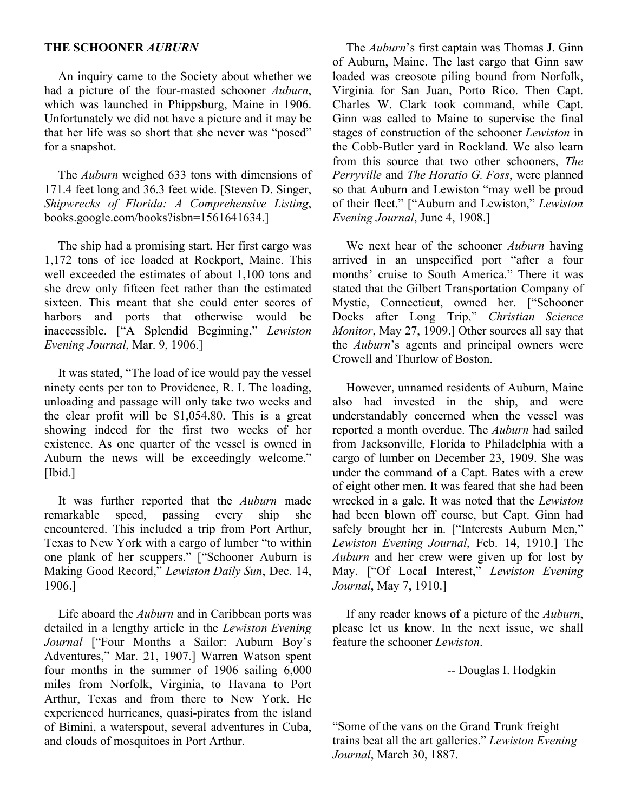#### **THE SCHOONER** *AUBURN*

An inquiry came to the Society about whether we had a picture of the four-masted schooner *Auburn*, which was launched in Phippsburg, Maine in 1906. Unfortunately we did not have a picture and it may be that her life was so short that she never was "posed" for a snapshot.

The *Auburn* weighed 633 tons with dimensions of 171.4 feet long and 36.3 feet wide. [Steven D. Singer, *Shipwrecks of Florida: A Comprehensive Listing*, books.google.com/books?isbn=1561641634.]

The ship had a promising start. Her first cargo was 1,172 tons of ice loaded at Rockport, Maine. This well exceeded the estimates of about 1,100 tons and she drew only fifteen feet rather than the estimated sixteen. This meant that she could enter scores of harbors and ports that otherwise would be inaccessible. ["A Splendid Beginning," *Lewiston Evening Journal*, Mar. 9, 1906.]

It was stated, "The load of ice would pay the vessel ninety cents per ton to Providence, R. I. The loading, unloading and passage will only take two weeks and the clear profit will be \$1,054.80. This is a great showing indeed for the first two weeks of her existence. As one quarter of the vessel is owned in Auburn the news will be exceedingly welcome." [Ibid.]

It was further reported that the *Auburn* made remarkable speed, passing every ship she encountered. This included a trip from Port Arthur, Texas to New York with a cargo of lumber "to within one plank of her scuppers." ["Schooner Auburn is Making Good Record," *Lewiston Daily Sun*, Dec. 14, 1906.]

Life aboard the *Auburn* and in Caribbean ports was detailed in a lengthy article in the *Lewiston Evening Journal* ["Four Months a Sailor: Auburn Boy's Adventures," Mar. 21, 1907.] Warren Watson spent four months in the summer of 1906 sailing 6,000 miles from Norfolk, Virginia, to Havana to Port Arthur, Texas and from there to New York. He experienced hurricanes, quasi-pirates from the island of Bimini, a waterspout, several adventures in Cuba, and clouds of mosquitoes in Port Arthur.

The *Auburn*'s first captain was Thomas J. Ginn of Auburn, Maine. The last cargo that Ginn saw loaded was creosote piling bound from Norfolk, Virginia for San Juan, Porto Rico. Then Capt. Charles W. Clark took command, while Capt. Ginn was called to Maine to supervise the final stages of construction of the schooner *Lewiston* in the Cobb-Butler yard in Rockland. We also learn from this source that two other schooners, *The Perryville* and *The Horatio G. Foss*, were planned so that Auburn and Lewiston "may well be proud of their fleet." ["Auburn and Lewiston," *Lewiston Evening Journal*, June 4, 1908.]

We next hear of the schooner *Auburn* having arrived in an unspecified port "after a four months' cruise to South America." There it was stated that the Gilbert Transportation Company of Mystic, Connecticut, owned her. ["Schooner Docks after Long Trip," *Christian Science Monitor*, May 27, 1909.] Other sources all say that the *Auburn*'s agents and principal owners were Crowell and Thurlow of Boston.

However, unnamed residents of Auburn, Maine also had invested in the ship, and were understandably concerned when the vessel was reported a month overdue. The *Auburn* had sailed from Jacksonville, Florida to Philadelphia with a cargo of lumber on December 23, 1909. She was under the command of a Capt. Bates with a crew of eight other men. It was feared that she had been wrecked in a gale. It was noted that the *Lewiston* had been blown off course, but Capt. Ginn had safely brought her in. ["Interests Auburn Men," *Lewiston Evening Journal*, Feb. 14, 1910.] The *Auburn* and her crew were given up for lost by May. ["Of Local Interest," *Lewiston Evening Journal*, May 7, 1910.]

If any reader knows of a picture of the *Auburn*, please let us know. In the next issue, we shall feature the schooner *Lewiston*.

-- Douglas I. Hodgkin

"Some of the vans on the Grand Trunk freight trains beat all the art galleries." *Lewiston Evening Journal*, March 30, 1887.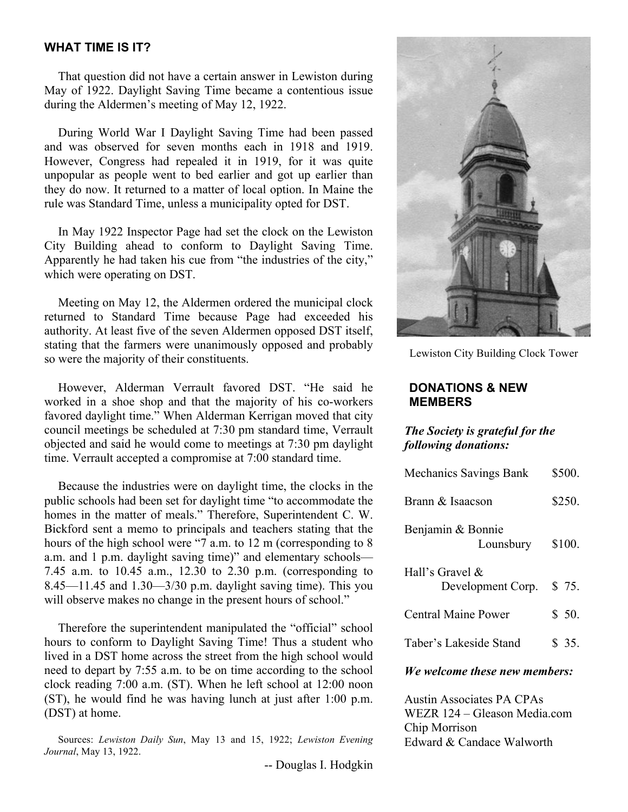#### **WHAT TIME IS IT?**

That question did not have a certain answer in Lewiston during May of 1922. Daylight Saving Time became a contentious issue during the Aldermen's meeting of May 12, 1922.

During World War I Daylight Saving Time had been passed and was observed for seven months each in 1918 and 1919. However, Congress had repealed it in 1919, for it was quite unpopular as people went to bed earlier and got up earlier than they do now. It returned to a matter of local option. In Maine the rule was Standard Time, unless a municipality opted for DST.

In May 1922 Inspector Page had set the clock on the Lewiston City Building ahead to conform to Daylight Saving Time. Apparently he had taken his cue from "the industries of the city," which were operating on DST.

Meeting on May 12, the Aldermen ordered the municipal clock returned to Standard Time because Page had exceeded his authority. At least five of the seven Aldermen opposed DST itself, stating that the farmers were unanimously opposed and probably so were the majority of their constituents.

However, Alderman Verrault favored DST. "He said he worked in a shoe shop and that the majority of his co-workers favored daylight time." When Alderman Kerrigan moved that city council meetings be scheduled at 7:30 pm standard time, Verrault objected and said he would come to meetings at 7:30 pm daylight time. Verrault accepted a compromise at 7:00 standard time.

Because the industries were on daylight time, the clocks in the public schools had been set for daylight time "to accommodate the homes in the matter of meals." Therefore, Superintendent C. W. Bickford sent a memo to principals and teachers stating that the hours of the high school were "7 a.m. to 12 m (corresponding to 8) a.m. and 1 p.m. daylight saving time)" and elementary schools— 7.45 a.m. to 10.45 a.m., 12.30 to 2.30 p.m. (corresponding to 8.45—11.45 and 1.30—3/30 p.m. daylight saving time). This you will observe makes no change in the present hours of school."

Therefore the superintendent manipulated the "official" school hours to conform to Daylight Saving Time! Thus a student who lived in a DST home across the street from the high school would need to depart by 7:55 a.m. to be on time according to the school clock reading 7:00 a.m. (ST). When he left school at 12:00 noon (ST), he would find he was having lunch at just after 1:00 p.m. (DST) at home.

Sources: *Lewiston Daily Sun*, May 13 and 15, 1922; *Lewiston Evening Journal*, May 13, 1922.



Lewiston City Building Clock Tower

#### **DONATIONS & NEW MEMBERS**

#### *The Society is grateful for the following donations:*

| <b>Mechanics Savings Bank</b>           | \$500. |
|-----------------------------------------|--------|
| Brann & Isaacson                        | \$250. |
| Benjamin & Bonnie<br>Lounsbury          | \$100. |
| Hall's Gravel $\&$<br>Development Corp. | \$75.  |
| Central Maine Power                     | \$50.  |
| Taber's Lakeside Stand                  | \$35.  |

#### *We welcome these new members:*

Austin Associates PA CPAs WEZR 124 – Gleason Media.com Chip Morrison Edward & Candace Walworth